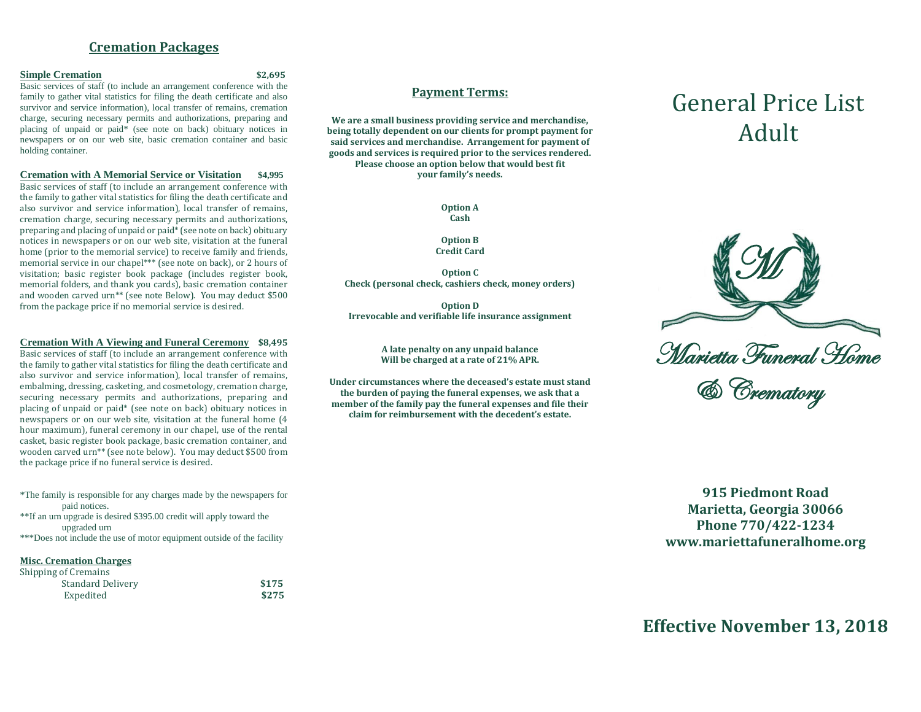## **Cremation Packages**

#### **Simple Cremation \$2,695**

Basic services of staff (to include an arrangement conference with the family to gather vital statistics for filing the death certificate and also survivor and service information), local transfer of remains, cremation charge, securing necessary permits and authorizations, preparing and placing of unpaid or paid\* (see note on back) obituary notices in newspapers or on our web site, basic cremation container and basic holding container.

**Cremation with A Memorial Service or Visitation \$4,995** Basic services of staff (to include an arrangement conference with the family to gather vital statistics for filing the death certificate and also survivor and service information), local transfer of remains, cremation charge, securing necessary permits and authorizations, preparing and placing of unpaid or paid\* (see note on back) obituary notices in newspapers or on our web site, visitation at the funeral home (prior to the memorial service) to receive family and friends, memorial service in our chapel\*\*\* (see note on back), or 2 hours of visitation; basic register book package (includes register book, memorial folders, and thank you cards), basic cremation container and wooden carved urn<sup>\*\*</sup> (see note Below). You may deduct \$500 from the package price if no memorial service is desired.

**Cremation With A Viewing and Funeral Ceremony \$8,495**

Basic services of staff (to include an arrangement conference with the family to gather vital statistics for filing the death certificate and also survivor and service information), local transfer of remains, embalming, dressing, casketing, and cosmetology, cremation charge, securing necessary permits and authorizations, preparing and placing of unpaid or paid\* (see note on back) obituary notices in newspapers or on our web site, visitation at the funeral home (4 hour maximum), funeral ceremony in our chapel, use of the rental casket, basic register book package, basic cremation container, and wooden carved urn\*\* (see note below). You may deduct \$500 from the package price if no funeral service is desired.

\*The family is responsible for any charges made by the newspapers for paid notices.

\*\*If an urn upgrade is desired \$395.00 credit will apply toward the upgraded urn

\*\*\*Does not include the use of motor equipment outside of the facility

#### **Misc. Cremation Charges**  $\overline{\text{Chimning of } \text{Cromains}}$

| nipping of Cremains,     |       |
|--------------------------|-------|
| <b>Standard Delivery</b> | \$175 |
| Expedited                | \$275 |

## **Payment Terms:**

**We are a small business providing service and merchandise, being totally dependent on our clients for prompt payment for said services and merchandise. Arrangement for payment of goods and services is required prior to the services rendered. Please choose an option below that would best fit your family's needs.**

> **Option A Cash**

**Option B Credit Card** 

**Option C Check (personal check, cashiers check, money orders)**

**Option D Irrevocable and verifiable life insurance assignment**

> **A late penalty on any unpaid balance Will be charged at a rate of 21% APR.**

**Under circumstances where the deceased's estate must stand the burden of paying the funeral expenses, we ask that a member of the family pay the funeral expenses and file their claim for reimbursement with the decedent's estate.**

# General Price List Adult



& Crematory

**915 Piedmont Road Marietta, Georgia 30066 Phone 770/422-1234 www.mariettafuneralhome.org**

**Effective November 13, 2018**